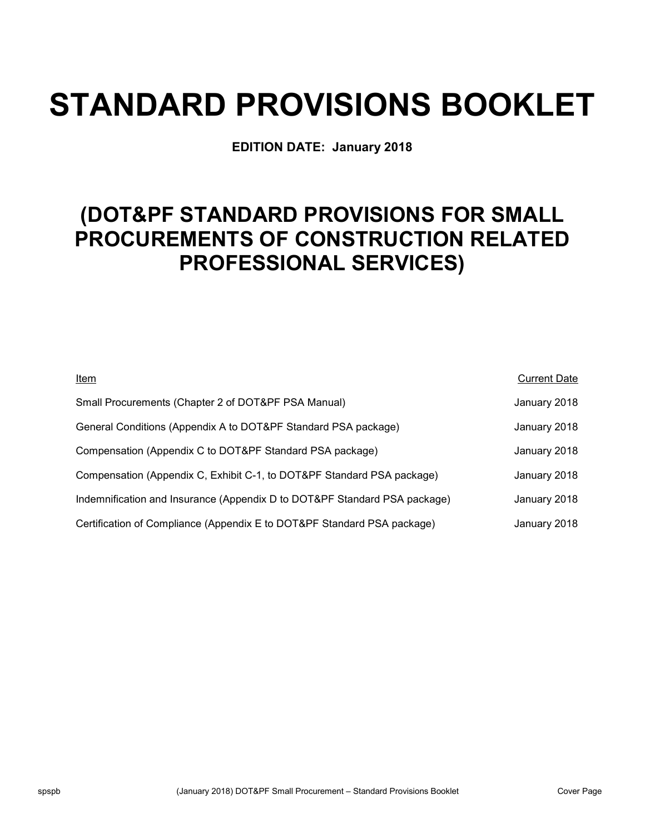# **STANDARD PROVISIONS BOOKLET**

**EDITION DATE: January 2018**

## **(DOT&PF STANDARD PROVISIONS FOR SMALL PROCUREMENTS OF CONSTRUCTION RELATED PROFESSIONAL SERVICES)**

| Item                                                                      | <b>Current Date</b> |
|---------------------------------------------------------------------------|---------------------|
| Small Procurements (Chapter 2 of DOT&PF PSA Manual)                       | January 2018        |
| General Conditions (Appendix A to DOT&PF Standard PSA package)            | January 2018        |
| Compensation (Appendix C to DOT&PF Standard PSA package)                  | January 2018        |
| Compensation (Appendix C, Exhibit C-1, to DOT&PF Standard PSA package)    | January 2018        |
| Indemnification and Insurance (Appendix D to DOT&PF Standard PSA package) | January 2018        |
| Certification of Compliance (Appendix E to DOT&PF Standard PSA package)   | January 2018        |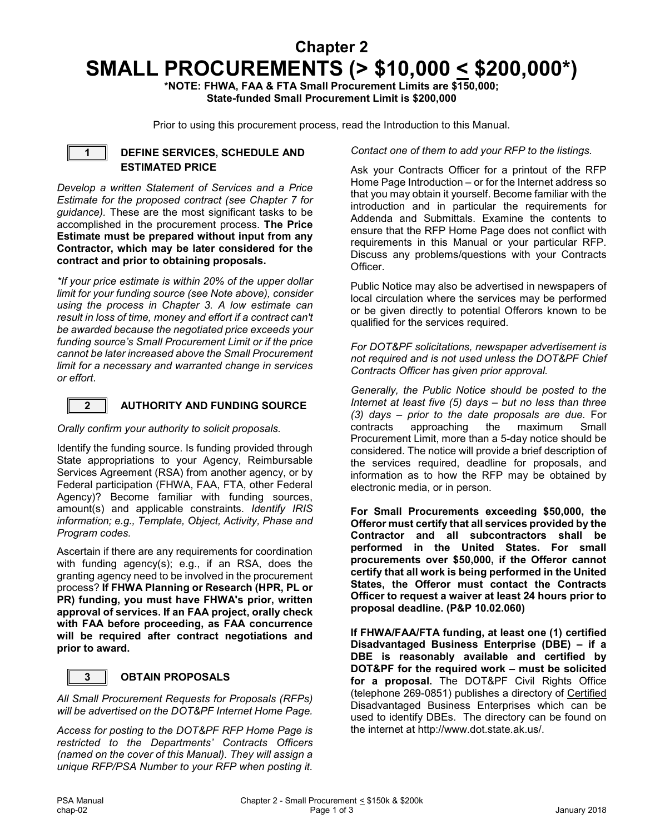### **Chapter 2 SMALL PROCUREMENTS (> \$10,000 < \$200,000\*)**

**\*NOTE: FHWA, FAA & FTA Small Procurement Limits are \$150,000; State-funded Small Procurement Limit is \$200,000**

Prior to using this procurement process, read the Introduction to this Manual.

#### **1 DEFINE SERVICES, SCHEDULE AND ESTIMATED PRICE**

*Develop a written Statement of Services and a Price Estimate for the proposed contract (see Chapter 7 for guidance).* These are the most significant tasks to be accomplished in the procurement process. **The Price Estimate must be prepared without input from any Contractor, which may be later considered for the contract and prior to obtaining proposals.**

*\*If your price estimate is within 20% of the upper dollar limit for your funding source (see Note above), consider using the process in Chapter 3. A low estimate can result in loss of time, money and effort if a contract can't be awarded because the negotiated price exceeds your funding source's Small Procurement Limit or if the price cannot be later increased above the Small Procurement limit for a necessary and warranted change in services or effort*.

#### **2 AUTHORITY AND FUNDING SOURCE**

#### *Orally confirm your authority to solicit proposals.*

Identify the funding source. Is funding provided through State appropriations to your Agency, Reimbursable Services Agreement (RSA) from another agency, or by Federal participation (FHWA, FAA, FTA, other Federal Agency)? Become familiar with funding sources, amount(s) and applicable constraints. *Identify IRIS information; e.g., Template, Object, Activity, Phase and Program codes.*

Ascertain if there are any requirements for coordination with funding agency(s); e.g., if an RSA, does the granting agency need to be involved in the procurement process? **If FHWA Planning or Research (HPR, PL or PR) funding, you must have FHWA's prior, written approval of services. If an FAA project, orally check with FAA before proceeding, as FAA concurrence will be required after contract negotiations and prior to award.**

#### **3 OBTAIN PROPOSALS**

*All Small Procurement Requests for Proposals (RFPs) will be advertised on the DOT&PF Internet Home Page.*

*Access for posting to the DOT&PF RFP Home Page is restricted to the Departments' Contracts Officers (named on the cover of this Manual). They will assign a unique RFP/PSA Number to your RFP when posting it.* 

#### *Contact one of them to add your RFP to the listings.*

Ask your Contracts Officer for a printout of the RFP Home Page Introduction – or for the Internet address so that you may obtain it yourself. Become familiar with the introduction and in particular the requirements for Addenda and Submittals. Examine the contents to ensure that the RFP Home Page does not conflict with requirements in this Manual or your particular RFP. Discuss any problems/questions with your Contracts Officer.

Public Notice may also be advertised in newspapers of local circulation where the services may be performed or be given directly to potential Offerors known to be qualified for the services required.

*For DOT&PF solicitations, newspaper advertisement is not required and is not used unless the DOT&PF Chief Contracts Officer has given prior approval.*

*Generally, the Public Notice should be posted to the Internet at least five (5) days – but no less than three (3) days – prior to the date proposals are due.* For contracts approaching the maximum Small Procurement Limit, more than a 5-day notice should be considered. The notice will provide a brief description of the services required, deadline for proposals, and information as to how the RFP may be obtained by electronic media, or in person.

**For Small Procurements exceeding \$50,000, the Offeror must certify that all services provided by the Contractor and all subcontractors shall be performed in the United States. For small procurements over \$50,000, if the Offeror cannot certify that all work is being performed in the United States, the Offeror must contact the Contracts Officer to request a waiver at least 24 hours prior to proposal deadline. (P&P 10.02.060)**

**If FHWA/FAA/FTA funding, at least one (1) certified Disadvantaged Business Enterprise (DBE) – if a DBE is reasonably available and certified by DOT&PF for the required work – must be solicited for a proposal.** The DOT&PF Civil Rights Office (telephone 269-0851) publishes a directory of Certified Disadvantaged Business Enterprises which can be used to identify DBEs. The directory can be found on the internet at http://www.dot.state.ak.us/.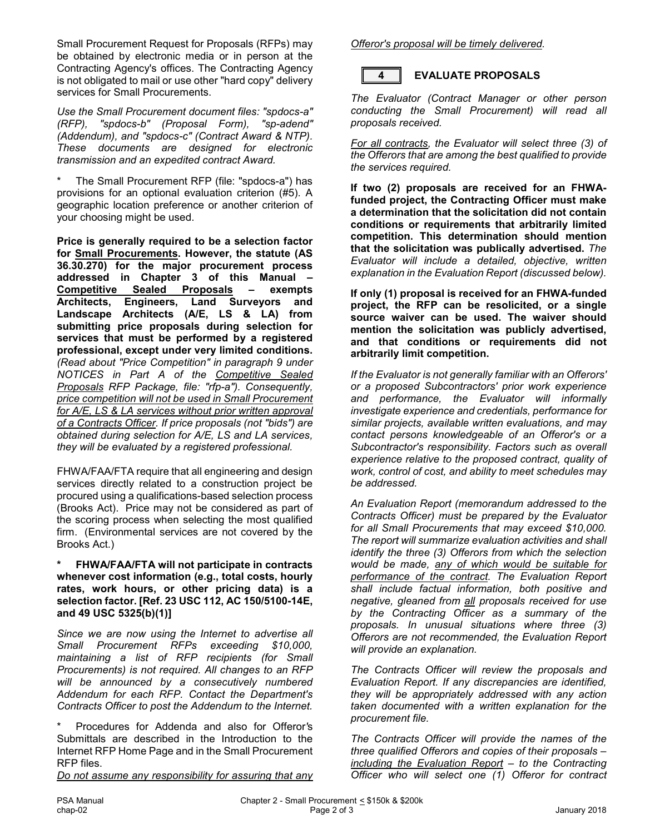Small Procurement Request for Proposals (RFPs) may be obtained by electronic media or in person at the Contracting Agency's offices. The Contracting Agency is not obligated to mail or use other "hard copy" delivery services for Small Procurements.

*Use the Small Procurement document files: "spdocs-a" (RFP), "spdocs-b" (Proposal Form), "sp-adend" (Addendum), and "spdocs-c" (Contract Award & NTP). These documents are designed for electronic transmission and an expedited contract Award.*

The Small Procurement RFP (file: "spdocs-a") has provisions for an optional evaluation criterion (#5). A geographic location preference or another criterion of your choosing might be used.

**Price is generally required to be a selection factor for Small Procurements. However, the statute (AS 36.30.270) for the major procurement process addressed in Chapter 3 of this Manual – Competitive Sealed Proposals – exempts Architects, Engineers, Land Surveyors and Landscape Architects (A/E, LS & LA) from submitting price proposals during selection for services that must be performed by a registered professional, except under very limited conditions.** *(Read about "Price Competition" in paragraph 9 under NOTICES in Part A of the Competitive Sealed Proposals RFP Package, file: "rfp-a"). Consequently, price competition will not be used in Small Procurement for A/E, LS & LA services without prior written approval of a Contracts Officer. If price proposals (not "bids") are obtained during selection for A/E, LS and LA services, they will be evaluated by a registered professional.*

FHWA/FAA/FTA require that all engineering and design services directly related to a construction project be procured using a qualifications-based selection process (Brooks Act). Price may not be considered as part of the scoring process when selecting the most qualified firm. (Environmental services are not covered by the Brooks Act.)

#### **\* FHWA/FAA/FTA will not participate in contracts whenever cost information (e.g., total costs, hourly rates, work hours, or other pricing data) is a selection factor. [Ref. 23 USC 112, AC 150/5100-14E, and 49 USC 5325(b)(1)]**

*Since we are now using the Internet to advertise all Small Procurement RFPs exceeding \$10,000, maintaining a list of RFP recipients (for Small Procurements) is not required. All changes to an RFP will be announced by a consecutively numbered Addendum for each RFP. Contact the Department's Contracts Officer to post the Addendum to the Internet.*

\* Procedures for Addenda and also for Offeror*'*s Submittals are described in the Introduction to the Internet RFP Home Page and in the Small Procurement RFP files.

*Do not assume any responsibility for assuring that any* 

*Offeror's proposal will be timely delivered.*



#### **4 EVALUATE PROPOSALS**

*The Evaluator (Contract Manager or other person conducting the Small Procurement) will read all proposals received.* 

*For all contracts, the Evaluator will select three (3) of the Offerors that are among the best qualified to provide the services required.* 

**If two (2) proposals are received for an FHWAfunded project, the Contracting Officer must make a determination that the solicitation did not contain conditions or requirements that arbitrarily limited competition. This determination should mention that the solicitation was publically advertised.** *The Evaluator will include a detailed, objective, written explanation in the Evaluation Report (discussed below).*

**If only (1) proposal is received for an FHWA-funded project, the RFP can be resolicited, or a single source waiver can be used. The waiver should mention the solicitation was publicly advertised, and that conditions or requirements did not arbitrarily limit competition.**

*If the Evaluator is not generally familiar with an Offerors' or a proposed Subcontractors' prior work experience and performance, the Evaluator will informally investigate experience and credentials, performance for similar projects, available written evaluations, and may contact persons knowledgeable of an Offeror's or a Subcontractor's responsibility. Factors such as overall experience relative to the proposed contract, quality of work, control of cost, and ability to meet schedules may be addressed.* 

*An Evaluation Report (memorandum addressed to the Contracts Officer) must be prepared by the Evaluator for all Small Procurements that may exceed \$10,000. The report will summarize evaluation activities and shall identify the three (3) Offerors from which the selection would be made, any of which would be suitable for performance of the contract. The Evaluation Report shall include factual information, both positive and negative, gleaned from all proposals received for use by the Contracting Officer as a summary of the proposals. In unusual situations where three (3) Offerors are not recommended, the Evaluation Report will provide an explanation.*

*The Contracts Officer will review the proposals and Evaluation Report. If any discrepancies are identified, they will be appropriately addressed with any action taken documented with a written explanation for the procurement file.* 

*The Contracts Officer will provide the names of the three qualified Offerors and copies of their proposals – including the Evaluation Report – to the Contracting Officer who will select one (1) Offeror for contract*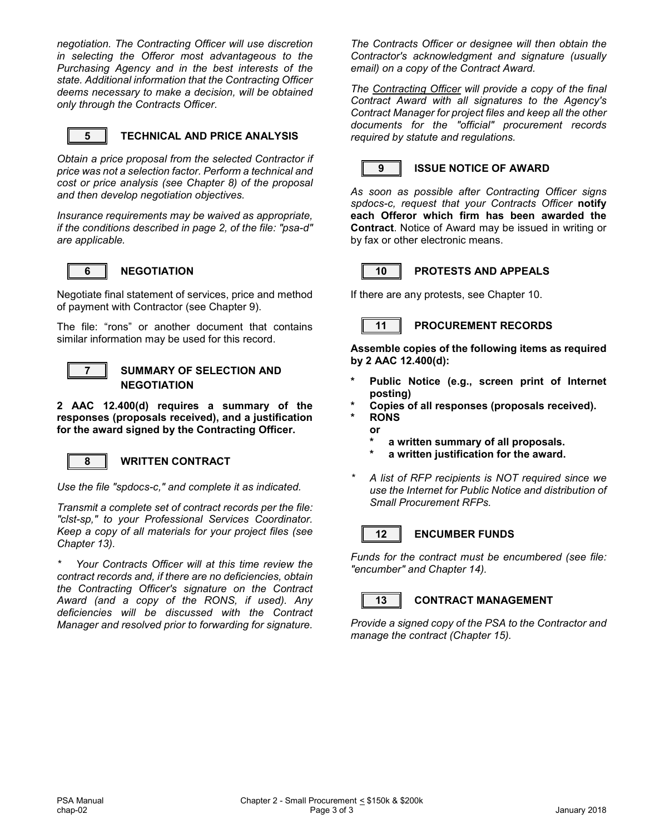*negotiation. The Contracting Officer will use discretion in selecting the Offeror most advantageous to the Purchasing Agency and in the best interests of the state. Additional information that the Contracting Officer deems necessary to make a decision, will be obtained only through the Contracts Officer*.



#### **5 TECHNICAL AND PRICE ANALYSIS**

*Obtain a price proposal from the selected Contractor if price was not a selection factor. Perform a technical and cost or price analysis (see Chapter 8) of the proposal and then develop negotiation objectives.*

*Insurance requirements may be waived as appropriate, if the conditions described in page 2, of the file: "psa-d" are applicable.*



#### **6 NEGOTIATION**

Negotiate final statement of services, price and method of payment with Contractor (see Chapter 9).

The file: "rons" or another document that contains similar information may be used for this record.



#### **7 SUMMARY OF SELECTION AND NEGOTIATION**

**2 AAC 12.400(d) requires a summary of the responses (proposals received), and a justification for the award signed by the Contracting Officer.**



#### **8 WRITTEN CONTRACT**

*Use the file "spdocs-c," and complete it as indicated.*

*Transmit a complete set of contract records per the file: "clst-sp," to your Professional Services Coordinator. Keep a copy of all materials for your project files (see Chapter 13).*

*\* Your Contracts Officer will at this time review the contract records and, if there are no deficiencies, obtain the Contracting Officer's signature on the Contract Award (and a copy of the RONS, if used). Any deficiencies will be discussed with the Contract Manager and resolved prior to forwarding for signature.* 

*The Contracts Officer or designee will then obtain the Contractor's acknowledgment and signature (usually email) on a copy of the Contract Award.*

*The Contracting Officer will provide a copy of the final Contract Award with all signatures to the Agency's Contract Manager for project files and keep all the other documents for the "official" procurement records required by statute and regulations.*



#### **9 ISSUE NOTICE OF AWARD**

*As soon as possible after Contracting Officer signs spdocs-c, request that your Contracts Officer* **notify each Offeror which firm has been awarded the Contract**. Notice of Award may be issued in writing or by fax or other electronic means.



#### **10 PROTESTS AND APPEALS**

If there are any protests, see Chapter 10.

#### **11 PROCUREMENT RECORDS**

**Assemble copies of the following items as required by 2 AAC 12.400(d):**

- Public Notice (e.g., screen print of Internet **posting)**
- **\* Copies of all responses (proposals received).**
- **\* RONS**
- **or** 
	- **\* a written summary of all proposals.**
	- **\* a written justification for the award.**
- *\* A list of RFP recipients is NOT required since we use the Internet for Public Notice and distribution of Small Procurement RFPs.*



#### **12 ENCUMBER FUNDS**

*Funds for the contract must be encumbered (see file: "encumber" and Chapter 14).*



#### **13 CONTRACT MANAGEMENT**

*Provide a signed copy of the PSA to the Contractor and manage the contract (Chapter 15).*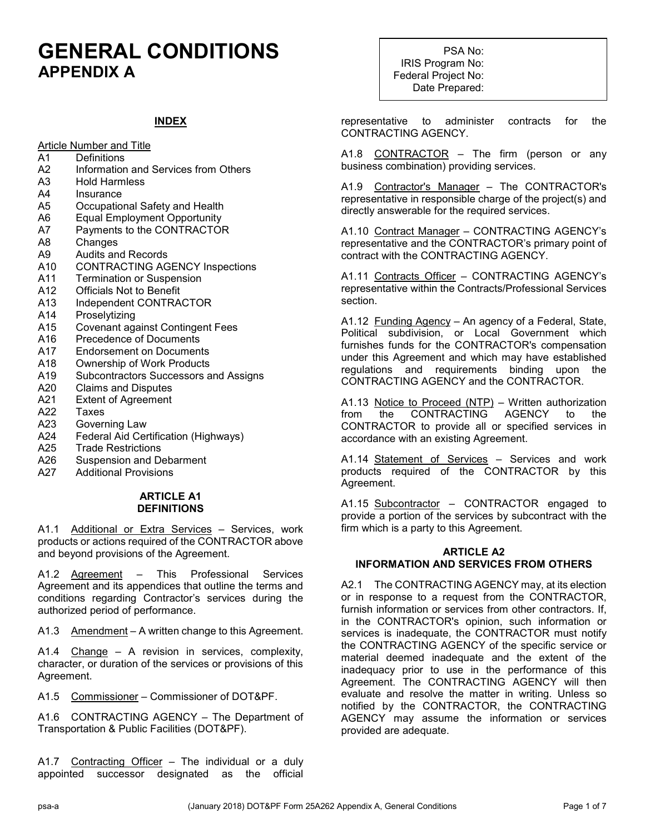### **GENERAL CONDITIONS APPENDIX A**

#### **INDEX**

Article Number and Title

- A1 Definitions
- A2 Information and Services from Others
- A3 Hold Harmless<br>A4 Insurance
- **Insurance**
- A5 Occupational Safety and Health
- A6 Equal Employment Opportunity
- A7 Payments to the CONTRACTOR
- A8 Changes
- A9 Audits and Records<br>A10 CONTRACTING AG
- A10 CONTRACTING AGENCY Inspections<br>A11 Termination or Suspension
- **Termination or Suspension**
- A12 Officials Not to Benefit
- A13 Independent CONTRACTOR
- A14 Proselytizing
- A15 Covenant against Contingent Fees
- A16 Precedence of Documents
- A17 Endorsement on Documents
- A18 Ownership of Work Products<br>A19 Subcontractors Successors a
- A19 Subcontractors Successors and Assigns<br>A20 Claims and Disputes
- Claims and Disputes
- A21 Extent of Agreement<br>A22 Taxes
- **Taxes**
- A23 Governing Law
- A24 Federal Aid Certification (Highways)<br>A25 Trade Restrictions
- A25 Trade Restrictions<br>A26 Suspension and De
- Suspension and Debarment
- A27 Additional Provisions

#### **ARTICLE A1 DEFINITIONS**

A1.1 Additional or Extra Services - Services, work products or actions required of the CONTRACTOR above and beyond provisions of the Agreement.

A1.2 Agreement – This Professional Services Agreement and its appendices that outline the terms and conditions regarding Contractor's services during the authorized period of performance.

A1.3 Amendment - A written change to this Agreement.

A1.4 Change – A revision in services, complexity, character, or duration of the services or provisions of this Agreement.

A1.5 Commissioner – Commissioner of DOT&PF.

A1.6 CONTRACTING AGENCY – The Department of Transportation & Public Facilities (DOT&PF).

A1.7 Contracting Officer - The individual or a duly appointed successor designated as the official

PSA No: IRIS Program No: Federal Project No: Date Prepared:

representative to administer contracts for the CONTRACTING AGENCY.

A1.8 CONTRACTOR – The firm (person or any business combination) providing services.

A1.9 Contractor's Manager – The CONTRACTOR's representative in responsible charge of the project(s) and directly answerable for the required services.

A1.10 Contract Manager – CONTRACTING AGENCY's representative and the CONTRACTOR's primary point of contract with the CONTRACTING AGENCY.

A1.11 Contracts Officer - CONTRACTING AGENCY's representative within the Contracts/Professional Services section.

A1.12 Funding Agency – An agency of a Federal, State, Political subdivision, or Local Government which furnishes funds for the CONTRACTOR's compensation under this Agreement and which may have established regulations and requirements binding upon the CONTRACTING AGENCY and the CONTRACTOR.

A1.13 Notice to Proceed (NTP) – Written authorization from the CONTRACTING AGENCY to the CONTRACTOR to provide all or specified services in accordance with an existing Agreement.

A1.14 Statement of Services – Services and work products required of the CONTRACTOR by this Agreement.

A1.15 Subcontractor - CONTRACTOR engaged to provide a portion of the services by subcontract with the firm which is a party to this Agreement.

#### **ARTICLE A2 INFORMATION AND SERVICES FROM OTHERS**

A2.1 The CONTRACTING AGENCY may, at its election or in response to a request from the CONTRACTOR, furnish information or services from other contractors. If, in the CONTRACTOR's opinion, such information or services is inadequate, the CONTRACTOR must notify the CONTRACTING AGENCY of the specific service or material deemed inadequate and the extent of the inadequacy prior to use in the performance of this Agreement. The CONTRACTING AGENCY will then evaluate and resolve the matter in writing. Unless so notified by the CONTRACTOR, the CONTRACTING AGENCY may assume the information or services provided are adequate.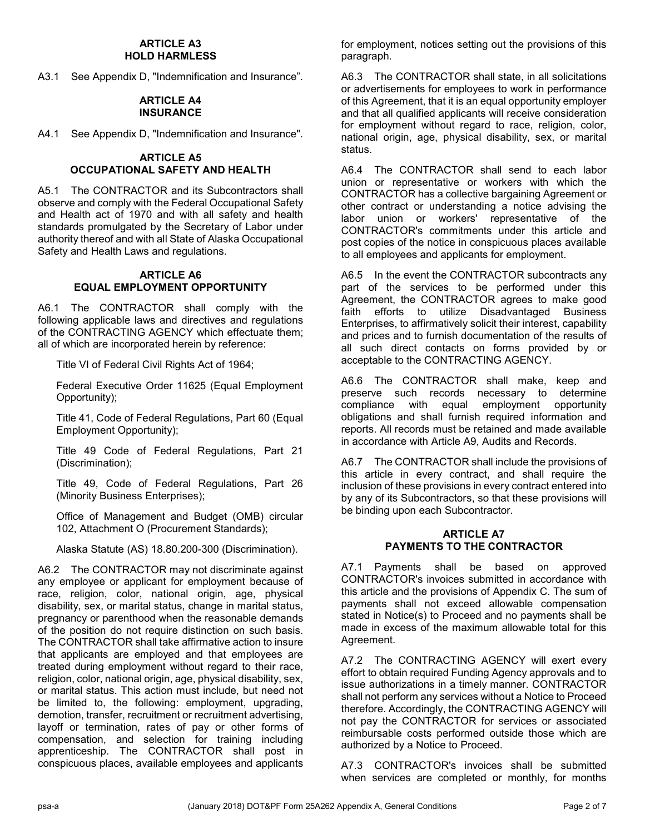#### **ARTICLE A3 HOLD HARMLESS**

A3.1 See Appendix D, "Indemnification and Insurance".

#### **ARTICLE A4 INSURANCE**

A4.1 See Appendix D, "Indemnification and Insurance".

#### **ARTICLE A5 OCCUPATIONAL SAFETY AND HEALTH**

A5.1 The CONTRACTOR and its Subcontractors shall observe and comply with the Federal Occupational Safety and Health act of 1970 and with all safety and health standards promulgated by the Secretary of Labor under authority thereof and with all State of Alaska Occupational Safety and Health Laws and regulations.

#### **ARTICLE A6 EQUAL EMPLOYMENT OPPORTUNITY**

A6.1 The CONTRACTOR shall comply with the following applicable laws and directives and regulations of the CONTRACTING AGENCY which effectuate them; all of which are incorporated herein by reference:

Title VI of Federal Civil Rights Act of 1964;

Federal Executive Order 11625 (Equal Employment Opportunity);

Title 41, Code of Federal Regulations, Part 60 (Equal Employment Opportunity);

Title 49 Code of Federal Regulations, Part 21 (Discrimination);

Title 49, Code of Federal Regulations, Part 26 (Minority Business Enterprises);

Office of Management and Budget (OMB) circular 102, Attachment O (Procurement Standards);

Alaska Statute (AS) 18.80.200-300 (Discrimination).

A6.2 The CONTRACTOR may not discriminate against any employee or applicant for employment because of race, religion, color, national origin, age, physical disability, sex, or marital status, change in marital status, pregnancy or parenthood when the reasonable demands of the position do not require distinction on such basis. The CONTRACTOR shall take affirmative action to insure that applicants are employed and that employees are treated during employment without regard to their race, religion, color, national origin, age, physical disability, sex, or marital status. This action must include, but need not be limited to, the following: employment, upgrading, demotion, transfer, recruitment or recruitment advertising, layoff or termination, rates of pay or other forms of compensation, and selection for training including apprenticeship. The CONTRACTOR shall post in conspicuous places, available employees and applicants

for employment, notices setting out the provisions of this paragraph.

A6.3 The CONTRACTOR shall state, in all solicitations or advertisements for employees to work in performance of this Agreement, that it is an equal opportunity employer and that all qualified applicants will receive consideration for employment without regard to race, religion, color, national origin, age, physical disability, sex, or marital status.

A6.4 The CONTRACTOR shall send to each labor union or representative or workers with which the CONTRACTOR has a collective bargaining Agreement or other contract or understanding a notice advising the labor union or workers' representative of the CONTRACTOR's commitments under this article and post copies of the notice in conspicuous places available to all employees and applicants for employment.

A6.5 In the event the CONTRACTOR subcontracts any part of the services to be performed under this Agreement, the CONTRACTOR agrees to make good faith efforts to utilize Disadvantaged Business Enterprises, to affirmatively solicit their interest, capability and prices and to furnish documentation of the results of all such direct contacts on forms provided by or acceptable to the CONTRACTING AGENCY.

A6.6 The CONTRACTOR shall make, keep and preserve such records necessary to determine<br>compliance with equal employment opportunity employment opportunity obligations and shall furnish required information and reports. All records must be retained and made available in accordance with Article A9, Audits and Records.

A6.7 The CONTRACTOR shall include the provisions of this article in every contract, and shall require the inclusion of these provisions in every contract entered into by any of its Subcontractors, so that these provisions will be binding upon each Subcontractor.

#### **ARTICLE A7 PAYMENTS TO THE CONTRACTOR**

A7.1 Payments shall be based on approved CONTRACTOR's invoices submitted in accordance with this article and the provisions of Appendix C. The sum of payments shall not exceed allowable compensation stated in Notice(s) to Proceed and no payments shall be made in excess of the maximum allowable total for this Agreement.

A7.2 The CONTRACTING AGENCY will exert every effort to obtain required Funding Agency approvals and to issue authorizations in a timely manner. CONTRACTOR shall not perform any services without a Notice to Proceed therefore. Accordingly, the CONTRACTING AGENCY will not pay the CONTRACTOR for services or associated reimbursable costs performed outside those which are authorized by a Notice to Proceed.

A7.3 CONTRACTOR's invoices shall be submitted when services are completed or monthly, for months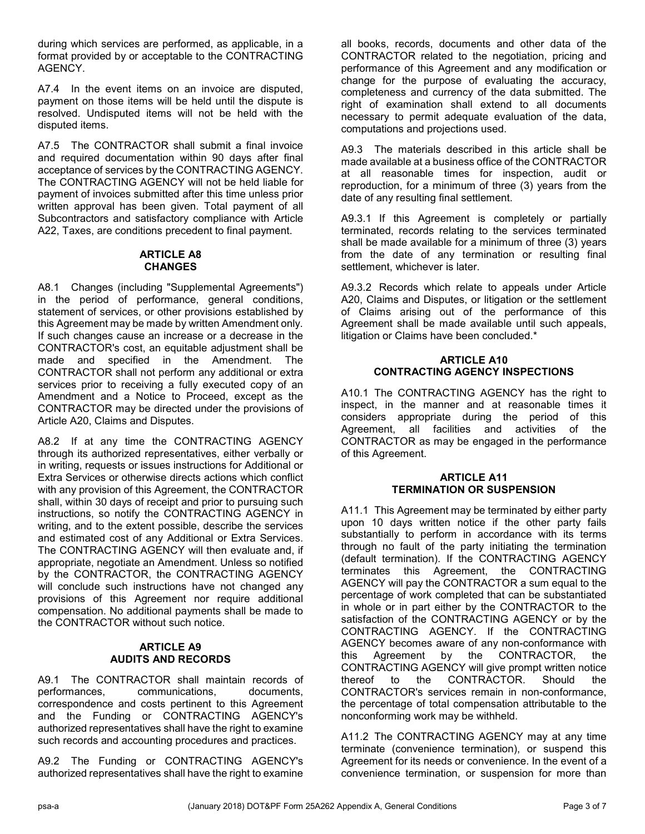during which services are performed, as applicable, in a format provided by or acceptable to the CONTRACTING AGENCY.

A7.4 In the event items on an invoice are disputed, payment on those items will be held until the dispute is resolved. Undisputed items will not be held with the disputed items.

A7.5 The CONTRACTOR shall submit a final invoice and required documentation within 90 days after final acceptance of services by the CONTRACTING AGENCY. The CONTRACTING AGENCY will not be held liable for payment of invoices submitted after this time unless prior written approval has been given. Total payment of all Subcontractors and satisfactory compliance with Article A22, Taxes, are conditions precedent to final payment.

#### **ARTICLE A8 CHANGES**

A8.1 Changes (including "Supplemental Agreements") in the period of performance, general conditions, statement of services, or other provisions established by this Agreement may be made by written Amendment only. If such changes cause an increase or a decrease in the CONTRACTOR's cost, an equitable adjustment shall be made and specified in the Amendment. The CONTRACTOR shall not perform any additional or extra services prior to receiving a fully executed copy of an Amendment and a Notice to Proceed, except as the CONTRACTOR may be directed under the provisions of Article A20, Claims and Disputes.

A8.2 If at any time the CONTRACTING AGENCY through its authorized representatives, either verbally or in writing, requests or issues instructions for Additional or Extra Services or otherwise directs actions which conflict with any provision of this Agreement, the CONTRACTOR shall, within 30 days of receipt and prior to pursuing such instructions, so notify the CONTRACTING AGENCY in writing, and to the extent possible, describe the services and estimated cost of any Additional or Extra Services. The CONTRACTING AGENCY will then evaluate and, if appropriate, negotiate an Amendment. Unless so notified by the CONTRACTOR, the CONTRACTING AGENCY will conclude such instructions have not changed any provisions of this Agreement nor require additional compensation. No additional payments shall be made to the CONTRACTOR without such notice.

#### **ARTICLE A9 AUDITS AND RECORDS**

A9.1 The CONTRACTOR shall maintain records of performances, communications, documents, correspondence and costs pertinent to this Agreement and the Funding or CONTRACTING AGENCY's authorized representatives shall have the right to examine such records and accounting procedures and practices.

A9.2 The Funding or CONTRACTING AGENCY's authorized representatives shall have the right to examine

all books, records, documents and other data of the CONTRACTOR related to the negotiation, pricing and performance of this Agreement and any modification or change for the purpose of evaluating the accuracy, completeness and currency of the data submitted. The right of examination shall extend to all documents necessary to permit adequate evaluation of the data, computations and projections used.

A9.3 The materials described in this article shall be made available at a business office of the CONTRACTOR at all reasonable times for inspection, audit or reproduction, for a minimum of three (3) years from the date of any resulting final settlement.

A9.3.1 If this Agreement is completely or partially terminated, records relating to the services terminated shall be made available for a minimum of three (3) years from the date of any termination or resulting final settlement, whichever is later.

A9.3.2 Records which relate to appeals under Article A20, Claims and Disputes, or litigation or the settlement of Claims arising out of the performance of this Agreement shall be made available until such appeals, litigation or Claims have been concluded.\*

#### **ARTICLE A10 CONTRACTING AGENCY INSPECTIONS**

A10.1 The CONTRACTING AGENCY has the right to inspect, in the manner and at reasonable times it considers appropriate during the period of this Agreement, all facilities and activities of the CONTRACTOR as may be engaged in the performance of this Agreement.

#### **ARTICLE A11 TERMINATION OR SUSPENSION**

A11.1 This Agreement may be terminated by either party upon 10 days written notice if the other party fails substantially to perform in accordance with its terms through no fault of the party initiating the termination (default termination). If the CONTRACTING AGENCY terminates this Agreement, the CONTRACTING AGENCY will pay the CONTRACTOR a sum equal to the percentage of work completed that can be substantiated in whole or in part either by the CONTRACTOR to the satisfaction of the CONTRACTING AGENCY or by the CONTRACTING AGENCY. If the CONTRACTING AGENCY becomes aware of any non-conformance with this Agreement by the CONTRACTOR, the CONTRACTING AGENCY will give prompt written notice thereof to the CONTRACTOR. Should the CONTRACTOR's services remain in non-conformance, the percentage of total compensation attributable to the nonconforming work may be withheld.

A11.2 The CONTRACTING AGENCY may at any time terminate (convenience termination), or suspend this Agreement for its needs or convenience. In the event of a convenience termination, or suspension for more than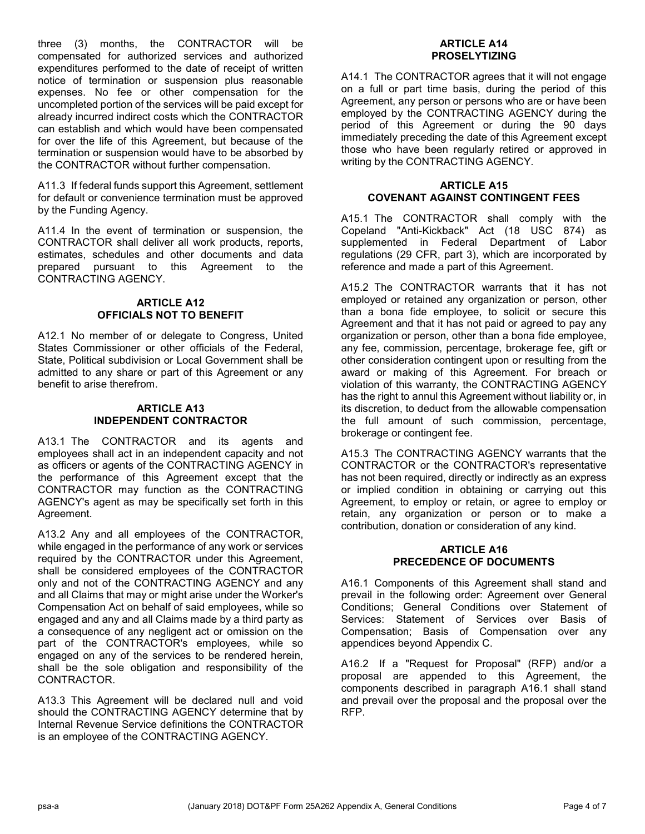three (3) months, the CONTRACTOR will be compensated for authorized services and authorized expenditures performed to the date of receipt of written notice of termination or suspension plus reasonable expenses. No fee or other compensation for the uncompleted portion of the services will be paid except for already incurred indirect costs which the CONTRACTOR can establish and which would have been compensated for over the life of this Agreement, but because of the termination or suspension would have to be absorbed by the CONTRACTOR without further compensation.

A11.3 If federal funds support this Agreement, settlement for default or convenience termination must be approved by the Funding Agency.

A11.4 In the event of termination or suspension, the CONTRACTOR shall deliver all work products, reports, estimates, schedules and other documents and data prepared pursuant to this Agreement to the CONTRACTING AGENCY.

#### **ARTICLE A12 OFFICIALS NOT TO BENEFIT**

A12.1 No member of or delegate to Congress, United States Commissioner or other officials of the Federal, State, Political subdivision or Local Government shall be admitted to any share or part of this Agreement or any benefit to arise therefrom.

#### **ARTICLE A13 INDEPENDENT CONTRACTOR**

A13.1 The CONTRACTOR and its agents and employees shall act in an independent capacity and not as officers or agents of the CONTRACTING AGENCY in the performance of this Agreement except that the CONTRACTOR may function as the CONTRACTING AGENCY's agent as may be specifically set forth in this Agreement.

A13.2 Any and all employees of the CONTRACTOR, while engaged in the performance of any work or services required by the CONTRACTOR under this Agreement, shall be considered employees of the CONTRACTOR only and not of the CONTRACTING AGENCY and any and all Claims that may or might arise under the Worker's Compensation Act on behalf of said employees, while so engaged and any and all Claims made by a third party as a consequence of any negligent act or omission on the part of the CONTRACTOR's employees, while so engaged on any of the services to be rendered herein, shall be the sole obligation and responsibility of the CONTRACTOR.

A13.3 This Agreement will be declared null and void should the CONTRACTING AGENCY determine that by Internal Revenue Service definitions the CONTRACTOR is an employee of the CONTRACTING AGENCY.

#### **ARTICLE A14 PROSELYTIZING**

A14.1 The CONTRACTOR agrees that it will not engage on a full or part time basis, during the period of this Agreement, any person or persons who are or have been employed by the CONTRACTING AGENCY during the period of this Agreement or during the 90 days immediately preceding the date of this Agreement except those who have been regularly retired or approved in writing by the CONTRACTING AGENCY.

#### **ARTICLE A15 COVENANT AGAINST CONTINGENT FEES**

A15.1 The CONTRACTOR shall comply with the Copeland "Anti-Kickback" Act (18 USC 874) as supplemented in Federal Department of Labor regulations (29 CFR, part 3), which are incorporated by reference and made a part of this Agreement.

A15.2 The CONTRACTOR warrants that it has not employed or retained any organization or person, other than a bona fide employee, to solicit or secure this Agreement and that it has not paid or agreed to pay any organization or person, other than a bona fide employee, any fee, commission, percentage, brokerage fee, gift or other consideration contingent upon or resulting from the award or making of this Agreement. For breach or violation of this warranty, the CONTRACTING AGENCY has the right to annul this Agreement without liability or, in its discretion, to deduct from the allowable compensation the full amount of such commission, percentage, brokerage or contingent fee.

A15.3 The CONTRACTING AGENCY warrants that the CONTRACTOR or the CONTRACTOR's representative has not been required, directly or indirectly as an express or implied condition in obtaining or carrying out this Agreement, to employ or retain, or agree to employ or retain, any organization or person or to make a contribution, donation or consideration of any kind.

#### **ARTICLE A16 PRECEDENCE OF DOCUMENTS**

A16.1 Components of this Agreement shall stand and prevail in the following order: Agreement over General Conditions; General Conditions over Statement of Services: Statement of Services over Basis of Compensation; Basis of Compensation over any appendices beyond Appendix C.

A16.2 If a "Request for Proposal" (RFP) and/or a proposal are appended to this Agreement, the components described in paragraph A16.1 shall stand and prevail over the proposal and the proposal over the RFP.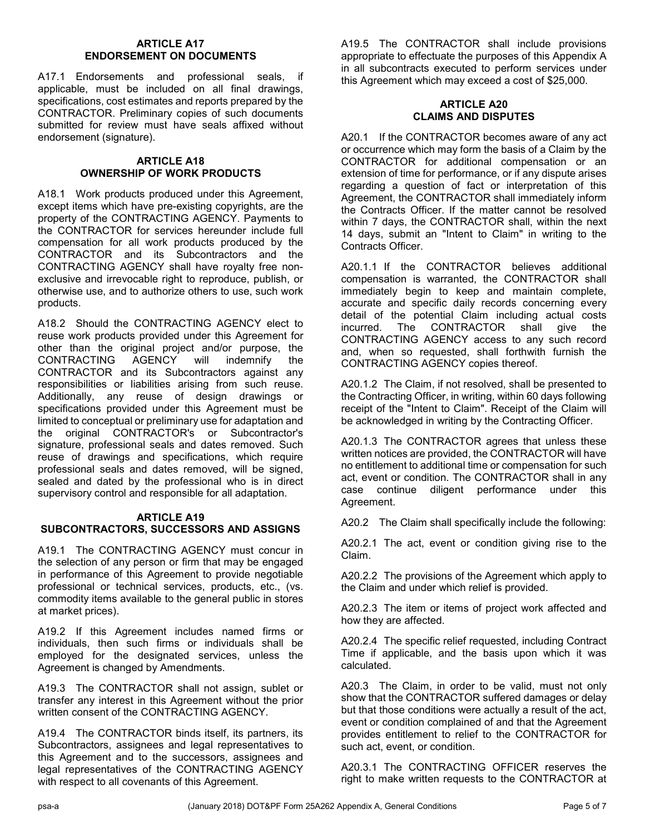#### **ARTICLE A17 ENDORSEMENT ON DOCUMENTS**

A17.1 Endorsements and professional seals, if applicable, must be included on all final drawings, specifications, cost estimates and reports prepared by the CONTRACTOR. Preliminary copies of such documents submitted for review must have seals affixed without endorsement (signature).

#### **ARTICLE A18 OWNERSHIP OF WORK PRODUCTS**

A18.1 Work products produced under this Agreement, except items which have pre-existing copyrights, are the property of the CONTRACTING AGENCY. Payments to the CONTRACTOR for services hereunder include full compensation for all work products produced by the CONTRACTOR and its Subcontractors and the CONTRACTING AGENCY shall have royalty free nonexclusive and irrevocable right to reproduce, publish, or otherwise use, and to authorize others to use, such work products.

A18.2 Should the CONTRACTING AGENCY elect to reuse work products provided under this Agreement for other than the original project and/or purpose, the CONTRACTING AGENCY will indemnify the CONTRACTING AGENCY will indemnify the CONTRACTOR and its Subcontractors against any responsibilities or liabilities arising from such reuse. Additionally, any reuse of design drawings or specifications provided under this Agreement must be limited to conceptual or preliminary use for adaptation and the original CONTRACTOR's or Subcontractor's signature, professional seals and dates removed. Such reuse of drawings and specifications, which require professional seals and dates removed, will be signed, sealed and dated by the professional who is in direct supervisory control and responsible for all adaptation.

#### **ARTICLE A19 SUBCONTRACTORS, SUCCESSORS AND ASSIGNS**

A19.1 The CONTRACTING AGENCY must concur in the selection of any person or firm that may be engaged in performance of this Agreement to provide negotiable professional or technical services, products, etc., (vs. commodity items available to the general public in stores at market prices).

A19.2 If this Agreement includes named firms or individuals, then such firms or individuals shall be employed for the designated services, unless the Agreement is changed by Amendments.

A19.3 The CONTRACTOR shall not assign, sublet or transfer any interest in this Agreement without the prior written consent of the CONTRACTING AGENCY.

A19.4 The CONTRACTOR binds itself, its partners, its Subcontractors, assignees and legal representatives to this Agreement and to the successors, assignees and legal representatives of the CONTRACTING AGENCY with respect to all covenants of this Agreement.

A19.5 The CONTRACTOR shall include provisions appropriate to effectuate the purposes of this Appendix A in all subcontracts executed to perform services under this Agreement which may exceed a cost of \$25,000.

#### **ARTICLE A20 CLAIMS AND DISPUTES**

A20.1 If the CONTRACTOR becomes aware of any act or occurrence which may form the basis of a Claim by the CONTRACTOR for additional compensation or an extension of time for performance, or if any dispute arises regarding a question of fact or interpretation of this Agreement, the CONTRACTOR shall immediately inform the Contracts Officer. If the matter cannot be resolved within 7 days, the CONTRACTOR shall, within the next 14 days, submit an "Intent to Claim" in writing to the Contracts Officer.

A20.1.1 If the CONTRACTOR believes additional compensation is warranted, the CONTRACTOR shall immediately begin to keep and maintain complete, accurate and specific daily records concerning every detail of the potential Claim including actual costs<br>incurred. The CONTRACTOR shall give the incurred. The CONTRACTOR shall CONTRACTING AGENCY access to any such record and, when so requested, shall forthwith furnish the CONTRACTING AGENCY copies thereof.

A20.1.2 The Claim, if not resolved, shall be presented to the Contracting Officer, in writing, within 60 days following receipt of the "Intent to Claim". Receipt of the Claim will be acknowledged in writing by the Contracting Officer.

A20.1.3 The CONTRACTOR agrees that unless these written notices are provided, the CONTRACTOR will have no entitlement to additional time or compensation for such act, event or condition. The CONTRACTOR shall in any case continue diligent performance under this Agreement.

A20.2 The Claim shall specifically include the following:

A20.2.1 The act, event or condition giving rise to the Claim.

A20.2.2 The provisions of the Agreement which apply to the Claim and under which relief is provided.

A20.2.3 The item or items of project work affected and how they are affected.

A20.2.4 The specific relief requested, including Contract Time if applicable, and the basis upon which it was calculated.

A20.3 The Claim, in order to be valid, must not only show that the CONTRACTOR suffered damages or delay but that those conditions were actually a result of the act, event or condition complained of and that the Agreement provides entitlement to relief to the CONTRACTOR for such act, event, or condition.

A20.3.1 The CONTRACTING OFFICER reserves the right to make written requests to the CONTRACTOR at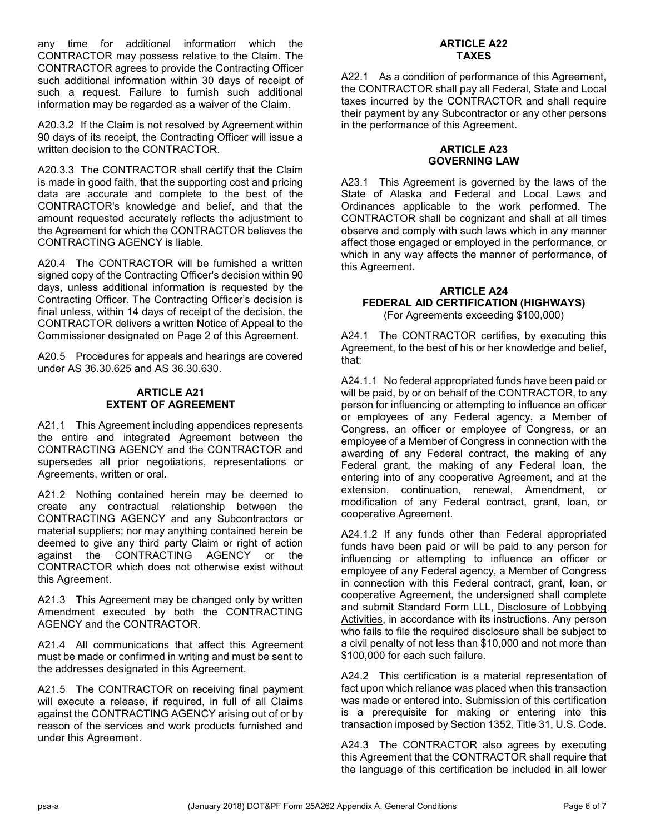any time for additional information which the CONTRACTOR may possess relative to the Claim. The CONTRACTOR agrees to provide the Contracting Officer such additional information within 30 days of receipt of such a request. Failure to furnish such additional information may be regarded as a waiver of the Claim.

A20.3.2 If the Claim is not resolved by Agreement within 90 days of its receipt, the Contracting Officer will issue a written decision to the CONTRACTOR.

A20.3.3 The CONTRACTOR shall certify that the Claim is made in good faith, that the supporting cost and pricing data are accurate and complete to the best of the CONTRACTOR's knowledge and belief, and that the amount requested accurately reflects the adjustment to the Agreement for which the CONTRACTOR believes the CONTRACTING AGENCY is liable.

A20.4 The CONTRACTOR will be furnished a written signed copy of the Contracting Officer's decision within 90 days, unless additional information is requested by the Contracting Officer. The Contracting Officer's decision is final unless, within 14 days of receipt of the decision, the CONTRACTOR delivers a written Notice of Appeal to the Commissioner designated on Page 2 of this Agreement.

A20.5 Procedures for appeals and hearings are covered under AS 36.30.625 and AS 36.30.630.

#### **ARTICLE A21 EXTENT OF AGREEMENT**

A21.1 This Agreement including appendices represents the entire and integrated Agreement between the CONTRACTING AGENCY and the CONTRACTOR and supersedes all prior negotiations, representations or Agreements, written or oral.

A21.2 Nothing contained herein may be deemed to create any contractual relationship between the CONTRACTING AGENCY and any Subcontractors or material suppliers; nor may anything contained herein be deemed to give any third party Claim or right of action against the CONTRACTING AGENCY or the CONTRACTOR which does not otherwise exist without this Agreement.

A21.3 This Agreement may be changed only by written Amendment executed by both the CONTRACTING AGENCY and the CONTRACTOR.

A21.4 All communications that affect this Agreement must be made or confirmed in writing and must be sent to the addresses designated in this Agreement.

A21.5 The CONTRACTOR on receiving final payment will execute a release, if required, in full of all Claims against the CONTRACTING AGENCY arising out of or by reason of the services and work products furnished and under this Agreement.

#### **ARTICLE A22 TAXES**

A22.1 As a condition of performance of this Agreement, the CONTRACTOR shall pay all Federal, State and Local taxes incurred by the CONTRACTOR and shall require their payment by any Subcontractor or any other persons in the performance of this Agreement.

#### **ARTICLE A23 GOVERNING LAW**

A23.1 This Agreement is governed by the laws of the State of Alaska and Federal and Local Laws and Ordinances applicable to the work performed. The CONTRACTOR shall be cognizant and shall at all times observe and comply with such laws which in any manner affect those engaged or employed in the performance, or which in any way affects the manner of performance, of this Agreement.

#### **ARTICLE A24 FEDERAL AID CERTIFICATION (HIGHWAYS)** (For Agreements exceeding \$100,000)

A24.1 The CONTRACTOR certifies, by executing this Agreement, to the best of his or her knowledge and belief, that:

A24.1.1 No federal appropriated funds have been paid or will be paid, by or on behalf of the CONTRACTOR, to any person for influencing or attempting to influence an officer or employees of any Federal agency, a Member of Congress, an officer or employee of Congress, or an employee of a Member of Congress in connection with the awarding of any Federal contract, the making of any Federal grant, the making of any Federal loan, the entering into of any cooperative Agreement, and at the extension, continuation, renewal, Amendment, or modification of any Federal contract, grant, loan, or cooperative Agreement.

A24.1.2 If any funds other than Federal appropriated funds have been paid or will be paid to any person for influencing or attempting to influence an officer or employee of any Federal agency, a Member of Congress in connection with this Federal contract, grant, loan, or cooperative Agreement, the undersigned shall complete and submit Standard Form LLL, Disclosure of Lobbying Activities, in accordance with its instructions. Any person who fails to file the required disclosure shall be subject to a civil penalty of not less than \$10,000 and not more than \$100,000 for each such failure.

A24.2 This certification is a material representation of fact upon which reliance was placed when this transaction was made or entered into. Submission of this certification is a prerequisite for making or entering into this transaction imposed by Section 1352, Title 31, U.S. Code.

A24.3 The CONTRACTOR also agrees by executing this Agreement that the CONTRACTOR shall require that the language of this certification be included in all lower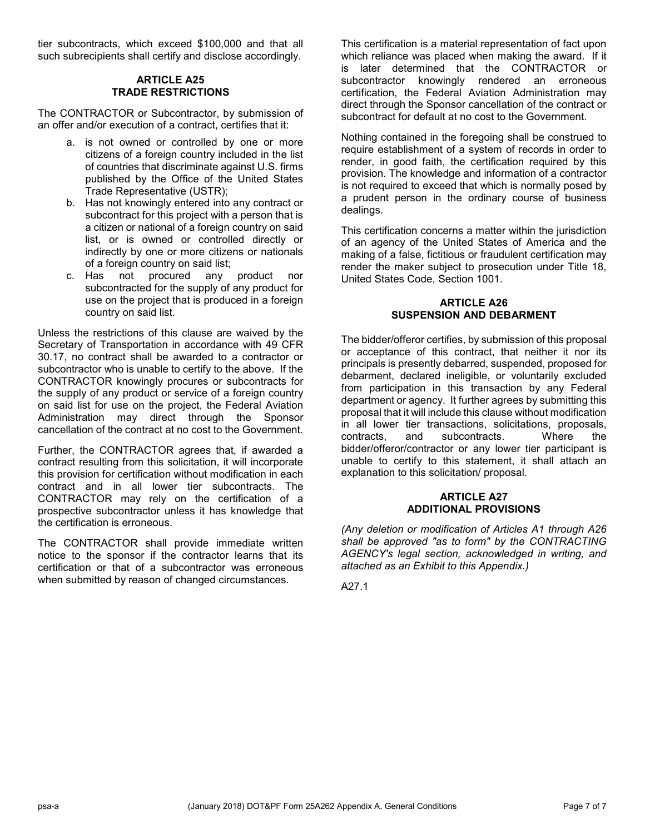tier subcontracts, which exceed \$100,000 and that all such subrecipients shall certify and disclose accordingly.

#### **ARTICLE A25 TRADE RESTRICTIONS**

The CONTRACTOR or Subcontractor, by submission of an offer and/or execution of a contract, certifies that it:

- a. is not owned or controlled by one or more citizens of a foreign country included in the list of countries that discriminate against U.S. firms published by the Office of the United States Trade Representative (USTR);
- b. Has not knowingly entered into any contract or subcontract for this project with a person that is a citizen or national of a foreign country on said list, or is owned or controlled directly or indirectly by one or more citizens or nationals of a foreign country on said list;
- c. Has not procured any product nor subcontracted for the supply of any product for use on the project that is produced in a foreign country on said list.

Unless the restrictions of this clause are waived by the Secretary of Transportation in accordance with 49 CFR 30.17, no contract shall be awarded to a contractor or subcontractor who is unable to certify to the above. If the CONTRACTOR knowingly procures or subcontracts for the supply of any product or service of a foreign country on said list for use on the project, the Federal Aviation Administration may direct through the Sponsor cancellation of the contract at no cost to the Government.

Further, the CONTRACTOR agrees that, if awarded a contract resulting from this solicitation, it will incorporate this provision for certification without modification in each contract and in all lower tier subcontracts. The CONTRACTOR may rely on the certification of a prospective subcontractor unless it has knowledge that the certification is erroneous.

The CONTRACTOR shall provide immediate written notice to the sponsor if the contractor learns that its certification or that of a subcontractor was erroneous when submitted by reason of changed circumstances.

This certification is a material representation of fact upon which reliance was placed when making the award. If it is later determined that the CONTRACTOR or subcontractor knowingly rendered an erroneous certification, the Federal Aviation Administration may direct through the Sponsor cancellation of the contract or subcontract for default at no cost to the Government.

Nothing contained in the foregoing shall be construed to require establishment of a system of records in order to render, in good faith, the certification required by this provision. The knowledge and information of a contractor is not required to exceed that which is normally posed by a prudent person in the ordinary course of business dealings.

This certification concerns a matter within the jurisdiction of an agency of the United States of America and the making of a false, fictitious or fraudulent certification may render the maker subject to prosecution under Title 18, United States Code, Section 1001.

#### **ARTICLE A26 SUSPENSION AND DEBARMENT**

The bidder/offeror certifies, by submission of this proposal or acceptance of this contract, that neither it nor its principals is presently debarred, suspended, proposed for debarment, declared ineligible, or voluntarily excluded from participation in this transaction by any Federal department or agency. It further agrees by submitting this proposal that it will include this clause without modification in all lower tier transactions, solicitations, proposals, contracts, and subcontracts. Where the bidder/offeror/contractor or any lower tier participant is unable to certify to this statement, it shall attach an explanation to this solicitation/ proposal.

#### **ARTICLE A27 ADDITIONAL PROVISIONS**

*(Any deletion or modification of Articles A1 through A26 shall be approved "as to form" by the CONTRACTING AGENCY's legal section, acknowledged in writing, and attached as an Exhibit to this Appendix.)*

A27.1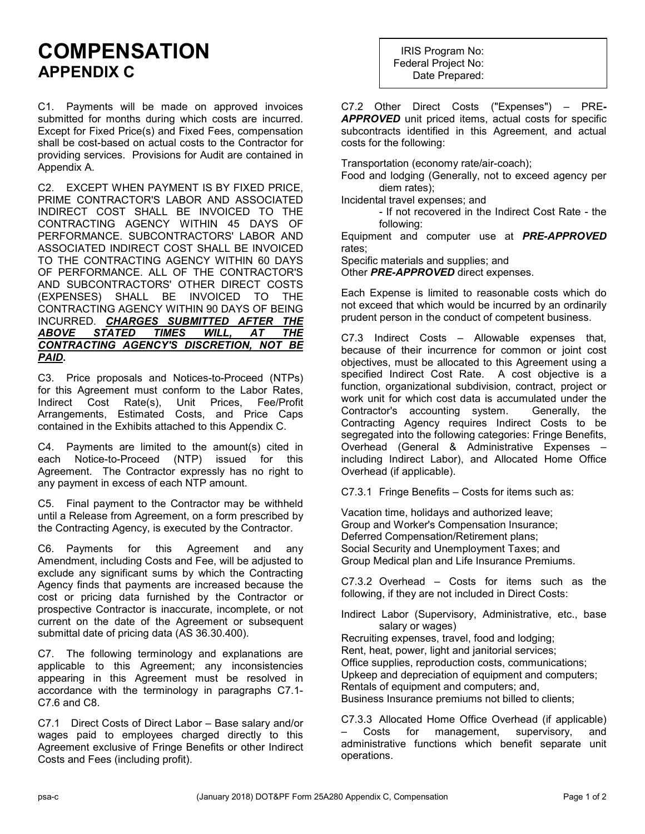### **COMPENSATION APPENDIX C**

C1. Payments will be made on approved invoices submitted for months during which costs are incurred. Except for Fixed Price(s) and Fixed Fees, compensation shall be cost-based on actual costs to the Contractor for providing services. Provisions for Audit are contained in Appendix A.

C2. EXCEPT WHEN PAYMENT IS BY FIXED PRICE, PRIME CONTRACTOR'S LABOR AND ASSOCIATED INDIRECT COST SHALL BE INVOICED TO THE CONTRACTING AGENCY WITHIN 45 DAYS OF PERFORMANCE. SUBCONTRACTORS' LABOR AND ASSOCIATED INDIRECT COST SHALL BE INVOICED TO THE CONTRACTING AGENCY WITHIN 60 DAYS OF PERFORMANCE. ALL OF THE CONTRACTOR'S AND SUBCONTRACTORS' OTHER DIRECT COSTS (EXPENSES) SHALL BE INVOICED TO THE CONTRACTING AGENCY WITHIN 90 DAYS OF BEING INCURRED. *CHARGES SUBMITTED AFTER THE ABOVE STATED TIMES WILL, AT THE CONTRACTING AGENCY'S DISCRETION, NOT BE PAID***.**

C3. Price proposals and Notices-to-Proceed (NTPs) for this Agreement must conform to the Labor Rates, Indirect Cost Rate(s), Unit Prices, Fee/Profit Arrangements, Estimated Costs, and Price Caps contained in the Exhibits attached to this Appendix C.

C4. Payments are limited to the amount(s) cited in each Notice-to-Proceed (NTP) issued for this Agreement. The Contractor expressly has no right to any payment in excess of each NTP amount.

C5. Final payment to the Contractor may be withheld until a Release from Agreement, on a form prescribed by the Contracting Agency, is executed by the Contractor.

C6. Payments for this Agreement and any Amendment, including Costs and Fee, will be adjusted to exclude any significant sums by which the Contracting Agency finds that payments are increased because the cost or pricing data furnished by the Contractor or prospective Contractor is inaccurate, incomplete, or not current on the date of the Agreement or subsequent submittal date of pricing data (AS 36.30.400).

C7. The following terminology and explanations are applicable to this Agreement; any inconsistencies appearing in this Agreement must be resolved in accordance with the terminology in paragraphs C7.1- C7.6 and C8.

C7.1 Direct Costs of Direct Labor – Base salary and/or wages paid to employees charged directly to this Agreement exclusive of Fringe Benefits or other Indirect Costs and Fees (including profit).

IRIS Program No: Federal Project No: Date Prepared:

C7.2 Other Direct Costs ("Expenses") – PRE*-APPROVED* unit priced items, actual costs for specific subcontracts identified in this Agreement, and actual costs for the following:

Transportation (economy rate/air-coach);

Food and lodging (Generally, not to exceed agency per diem rates);

Incidental travel expenses; and

- If not recovered in the Indirect Cost Rate - the following:

Equipment and computer use at *PRE-APPROVED* rates;

Specific materials and supplies; and

Other *PRE-APPROVED* direct expenses.

Each Expense is limited to reasonable costs which do not exceed that which would be incurred by an ordinarily prudent person in the conduct of competent business.

C7.3 Indirect Costs – Allowable expenses that, because of their incurrence for common or joint cost objectives, must be allocated to this Agreement using a specified Indirect Cost Rate. A cost objective is a function, organizational subdivision, contract, project or work unit for which cost data is accumulated under the Contractor's accounting system. Generally, the Contracting Agency requires Indirect Costs to be segregated into the following categories: Fringe Benefits, Overhead (General & Administrative Expenses – including Indirect Labor), and Allocated Home Office Overhead (if applicable).

C7.3.1 Fringe Benefits – Costs for items such as:

Vacation time, holidays and authorized leave; Group and Worker's Compensation Insurance; Deferred Compensation/Retirement plans; Social Security and Unemployment Taxes; and Group Medical plan and Life Insurance Premiums.

C7.3.2 Overhead – Costs for items such as the following, if they are not included in Direct Costs:

Indirect Labor (Supervisory, Administrative, etc., base salary or wages)

Recruiting expenses, travel, food and lodging; Rent, heat, power, light and janitorial services; Office supplies, reproduction costs, communications; Upkeep and depreciation of equipment and computers; Rentals of equipment and computers; and, Business Insurance premiums not billed to clients;

C7.3.3 Allocated Home Office Overhead (if applicable) Costs for management, supervisory, and administrative functions which benefit separate unit operations.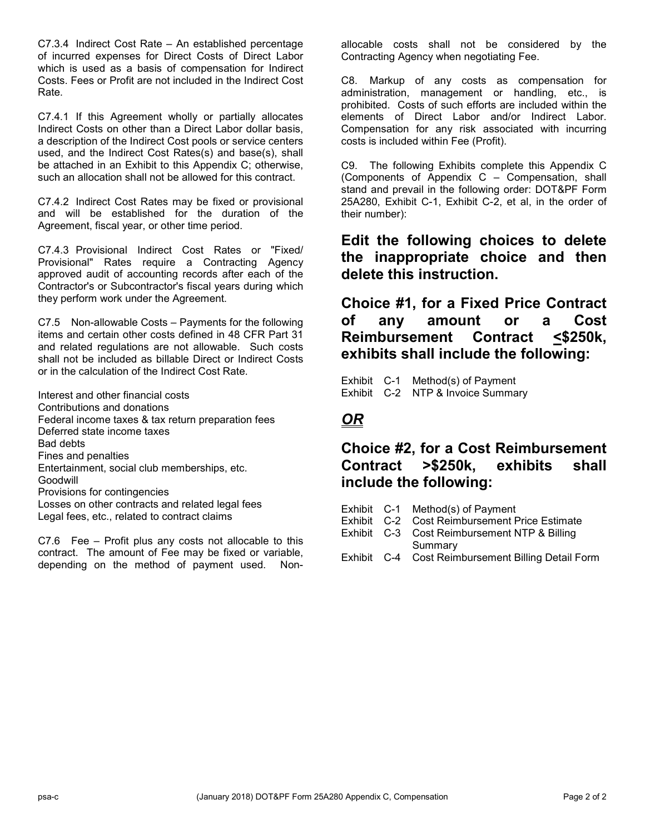C7.3.4 Indirect Cost Rate – An established percentage of incurred expenses for Direct Costs of Direct Labor which is used as a basis of compensation for Indirect Costs. Fees or Profit are not included in the Indirect Cost Rate.

C7.4.1 If this Agreement wholly or partially allocates Indirect Costs on other than a Direct Labor dollar basis, a description of the Indirect Cost pools or service centers used, and the Indirect Cost Rates(s) and base(s), shall be attached in an Exhibit to this Appendix C; otherwise, such an allocation shall not be allowed for this contract.

C7.4.2 Indirect Cost Rates may be fixed or provisional and will be established for the duration of the Agreement, fiscal year, or other time period.

C7.4.3 Provisional Indirect Cost Rates or "Fixed/ Provisional" Rates require a Contracting Agency approved audit of accounting records after each of the Contractor's or Subcontractor's fiscal years during which they perform work under the Agreement.

C7.5 Non-allowable Costs – Payments for the following items and certain other costs defined in 48 CFR Part 31 and related regulations are not allowable. Such costs shall not be included as billable Direct or Indirect Costs or in the calculation of the Indirect Cost Rate.

Interest and other financial costs Contributions and donations Federal income taxes & tax return preparation fees Deferred state income taxes Bad debts Fines and penalties Entertainment, social club memberships, etc. Goodwill Provisions for contingencies Losses on other contracts and related legal fees Legal fees, etc., related to contract claims

C7.6 Fee – Profit plus any costs not allocable to this contract. The amount of Fee may be fixed or variable, depending on the method of payment used. Nonallocable costs shall not be considered by the Contracting Agency when negotiating Fee.

C8. Markup of any costs as compensation for administration, management or handling, etc., is prohibited. Costs of such efforts are included within the elements of Direct Labor and/or Indirect Labor. Compensation for any risk associated with incurring costs is included within Fee (Profit).

C9. The following Exhibits complete this Appendix C (Components of Appendix C – Compensation, shall stand and prevail in the following order: DOT&PF Form 25A280, Exhibit C-1, Exhibit C-2, et al, in the order of their number):

### **Edit the following choices to delete the inappropriate choice and then delete this instruction.**

**Choice #1, for a Fixed Price Contract of any amount or a Cost Reimbursement Contract <\$250k, exhibits shall include the following:**

Exhibit C-1 Method(s) of Payment Exhibit C-2 NTP & Invoice Summary

### *OR*

### **Choice #2, for a Cost Reimbursement Contract >\$250k, exhibits shall include the following:**

- Exhibit C-1 Method(s) of Payment Exhibit C-2 Cost Reimbursement Price Estimate
- Exhibit C-3 Cost Reimbursement NTP & Billing Summary
- Exhibit C-4 Cost Reimbursement Billing Detail Form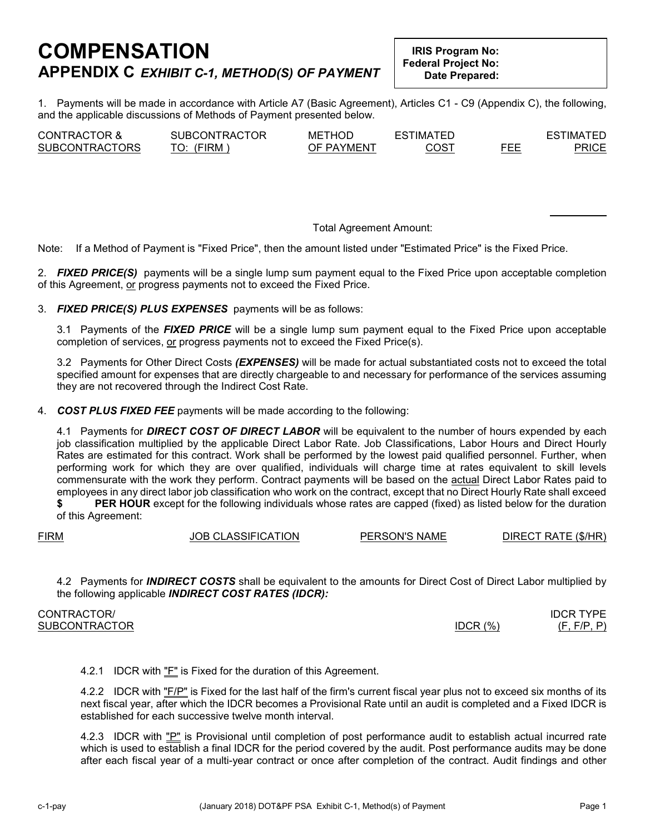### **COMPENSATION APPENDIX C** *EXHIBIT C-1, METHOD(S) OF PAYMENT*

**IRIS Program No: Federal Project No: Date Prepared:**

1. Payments will be made in accordance with Article A7 (Basic Agreement), Articles C1 - C9 (Appendix C), the following, and the applicable discussions of Methods of Payment presented below.

| <b>CONTRACTOR &amp;</b> | SUBCONTRACTOR | METHOD     | <b>ESTIMATED</b> |     | <b>ESTIMATED</b> |
|-------------------------|---------------|------------|------------------|-----|------------------|
| <b>SUBCONTRACTORS</b>   | (FIRM         | OF PAYMENT | COS1             | FEE | PRICE            |

#### Total Agreement Amount:

Note: If a Method of Payment is "Fixed Price", then the amount listed under "Estimated Price" is the Fixed Price.

2. *FIXED PRICE(S)* payments will be a single lump sum payment equal to the Fixed Price upon acceptable completion of this Agreement, or progress payments not to exceed the Fixed Price.

3. *FIXED PRICE(S) PLUS EXPENSES* payments will be as follows:

3.1 Payments of the *FIXED PRICE* will be a single lump sum payment equal to the Fixed Price upon acceptable completion of services, or progress payments not to exceed the Fixed Price(s).

3.2 Payments for Other Direct Costs *(EXPENSES)* will be made for actual substantiated costs not to exceed the total specified amount for expenses that are directly chargeable to and necessary for performance of the services assuming they are not recovered through the Indirect Cost Rate.

4. *COST PLUS FIXED FEE* payments will be made according to the following:

4.1 Payments for *DIRECT COST OF DIRECT LABOR* will be equivalent to the number of hours expended by each job classification multiplied by the applicable Direct Labor Rate. Job Classifications, Labor Hours and Direct Hourly Rates are estimated for this contract. Work shall be performed by the lowest paid qualified personnel. Further, when performing work for which they are over qualified, individuals will charge time at rates equivalent to skill levels commensurate with the work they perform. Contract payments will be based on the actual Direct Labor Rates paid to employees in any direct labor job classification who work on the contract, except that no Direct Hourly Rate shall exceed

**\$ PER HOUR** except for the following individuals whose rates are capped (fixed) as listed below for the duration of this Agreement:

FIRM JOB CLASSIFICATION PERSON'S NAME DIRECT RATE (\$/HR)

4.2 Payments for *INDIRECT COSTS* shall be equivalent to the amounts for Direct Cost of Direct Labor multiplied by the following applicable *INDIRECT COST RATES (IDCR):*

| CONTRACTOR/          |          | <b>IDCR TYPE</b> |
|----------------------|----------|------------------|
| <b>SUBCONTRACTOR</b> | IDCR (%) | (F, F/P, P)      |
|                      |          |                  |

4.2.1 IDCR with "F" is Fixed for the duration of this Agreement.

4.2.2 IDCR with "F/P" is Fixed for the last half of the firm's current fiscal year plus not to exceed six months of its next fiscal year, after which the IDCR becomes a Provisional Rate until an audit is completed and a Fixed IDCR is established for each successive twelve month interval.

4.2.3 IDCR with "P" is Provisional until completion of post performance audit to establish actual incurred rate which is used to establish a final IDCR for the period covered by the audit. Post performance audits may be done after each fiscal year of a multi-year contract or once after completion of the contract. Audit findings and other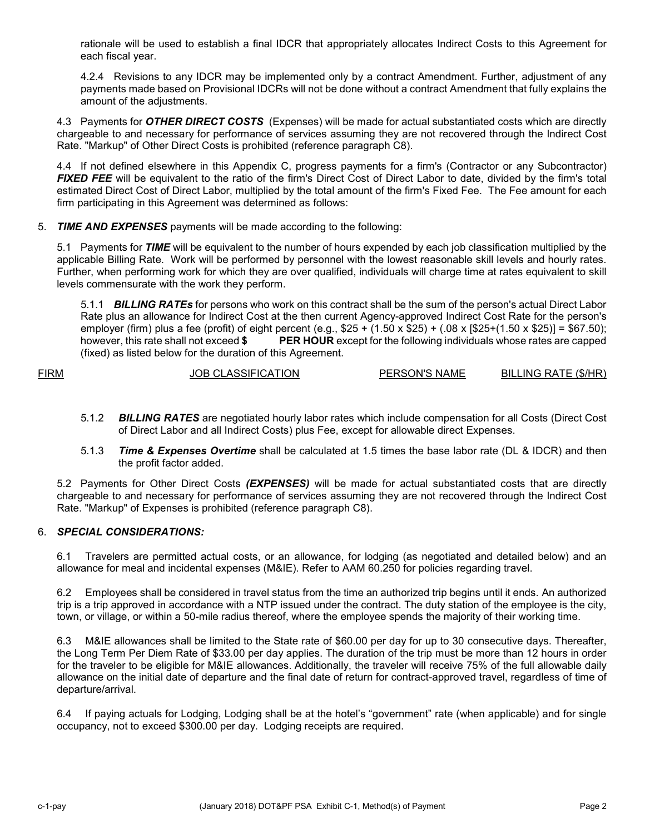rationale will be used to establish a final IDCR that appropriately allocates Indirect Costs to this Agreement for each fiscal year.

4.2.4 Revisions to any IDCR may be implemented only by a contract Amendment. Further, adjustment of any payments made based on Provisional IDCRs will not be done without a contract Amendment that fully explains the amount of the adjustments.

4.3 Payments for *OTHER DIRECT COSTS* (Expenses) will be made for actual substantiated costs which are directly chargeable to and necessary for performance of services assuming they are not recovered through the Indirect Cost Rate. "Markup" of Other Direct Costs is prohibited (reference paragraph C8).

4.4 If not defined elsewhere in this Appendix C, progress payments for a firm's (Contractor or any Subcontractor) *FIXED FEE* will be equivalent to the ratio of the firm's Direct Cost of Direct Labor to date, divided by the firm's total estimated Direct Cost of Direct Labor, multiplied by the total amount of the firm's Fixed Fee. The Fee amount for each firm participating in this Agreement was determined as follows:

#### 5. *TIME AND EXPENSES* payments will be made according to the following:

5.1 Payments for *TIME* will be equivalent to the number of hours expended by each job classification multiplied by the applicable Billing Rate. Work will be performed by personnel with the lowest reasonable skill levels and hourly rates. Further, when performing work for which they are over qualified, individuals will charge time at rates equivalent to skill levels commensurate with the work they perform.

5.1.1 *BILLING RATEs* for persons who work on this contract shall be the sum of the person's actual Direct Labor Rate plus an allowance for Indirect Cost at the then current Agency-approved Indirect Cost Rate for the person's employer (firm) plus a fee (profit) of eight percent (e.g., \$25 + (1.50 x \$25) + (.08 x [\$25+(1.50 x \$25)] = \$67.50); however, this rate shall not exceed **\$ PER HOUR** except for the following individuals whose rates are capped (fixed) as listed below for the duration of this Agreement.

FIRM JOB CLASSIFICATION PERSON'S NAME BILLING RATE (\$/HR)

- 5.1.2 *BILLING RATES* are negotiated hourly labor rates which include compensation for all Costs (Direct Cost of Direct Labor and all Indirect Costs) plus Fee, except for allowable direct Expenses.
- 5.1.3 *Time & Expenses Overtime* shall be calculated at 1.5 times the base labor rate (DL & IDCR) and then the profit factor added.

5.2 Payments for Other Direct Costs *(EXPENSES)* will be made for actual substantiated costs that are directly chargeable to and necessary for performance of services assuming they are not recovered through the Indirect Cost Rate. "Markup" of Expenses is prohibited (reference paragraph C8).

#### 6. *SPECIAL CONSIDERATIONS:*

6.1 Travelers are permitted actual costs, or an allowance, for lodging (as negotiated and detailed below) and an allowance for meal and incidental expenses (M&IE). Refer to AAM 60.250 for policies regarding travel.

6.2 Employees shall be considered in travel status from the time an authorized trip begins until it ends. An authorized trip is a trip approved in accordance with a NTP issued under the contract. The duty station of the employee is the city, town, or village, or within a 50-mile radius thereof, where the employee spends the majority of their working time.

6.3 M&IE allowances shall be limited to the State rate of \$60.00 per day for up to 30 consecutive days. Thereafter, the Long Term Per Diem Rate of \$33.00 per day applies. The duration of the trip must be more than 12 hours in order for the traveler to be eligible for M&IE allowances. Additionally, the traveler will receive 75% of the full allowable daily allowance on the initial date of departure and the final date of return for contract-approved travel, regardless of time of departure/arrival.

6.4 If paying actuals for Lodging, Lodging shall be at the hotel's "government" rate (when applicable) and for single occupancy, not to exceed \$300.00 per day. Lodging receipts are required.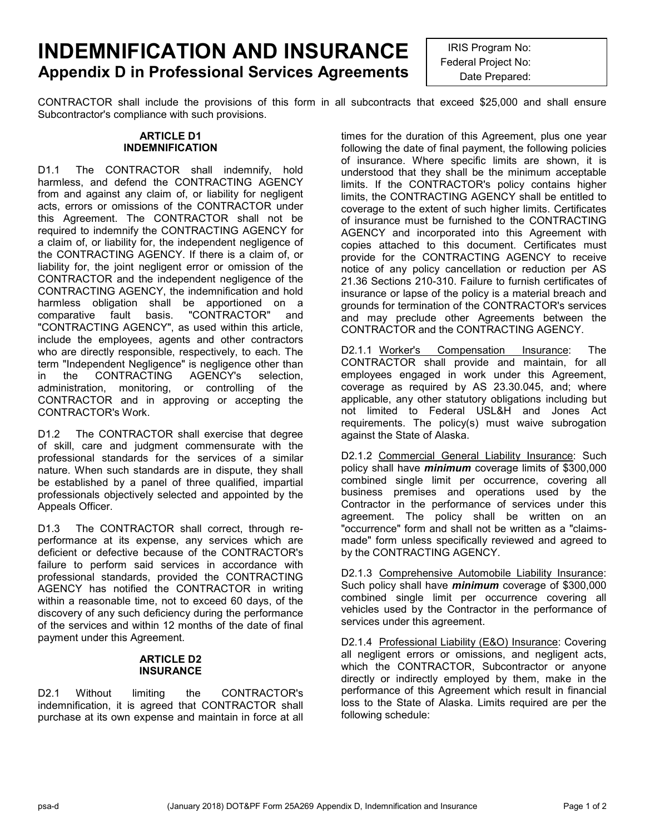### **INDEMNIFICATION AND INSURANCE Appendix D in Professional Services Agreements**

IRIS Program No: Federal Project No: Date Prepared:

CONTRACTOR shall include the provisions of this form in all subcontracts that exceed \$25,000 and shall ensure Subcontractor's compliance with such provisions.

#### **ARTICLE D1 INDEMNIFICATION**

D1.1 The CONTRACTOR shall indemnify, hold harmless, and defend the CONTRACTING AGENCY from and against any claim of, or liability for negligent acts, errors or omissions of the CONTRACTOR under this Agreement. The CONTRACTOR shall not be required to indemnify the CONTRACTING AGENCY for a claim of, or liability for, the independent negligence of the CONTRACTING AGENCY. If there is a claim of, or liability for, the joint negligent error or omission of the CONTRACTOR and the independent negligence of the CONTRACTING AGENCY, the indemnification and hold harmless obligation shall be apportioned on a comparative fault basis. "CONTRACTOR" and "CONTRACTING AGENCY", as used within this article, include the employees, agents and other contractors who are directly responsible, respectively, to each. The term "Independent Negligence" is negligence other than in the CONTRACTING AGENCY's selection, administration, monitoring, or controlling of the CONTRACTOR and in approving or accepting the CONTRACTOR's Work.

D1.2 The CONTRACTOR shall exercise that degree of skill, care and judgment commensurate with the professional standards for the services of a similar nature. When such standards are in dispute, they shall be established by a panel of three qualified, impartial professionals objectively selected and appointed by the Appeals Officer.

D1.3 The CONTRACTOR shall correct, through reperformance at its expense, any services which are deficient or defective because of the CONTRACTOR's failure to perform said services in accordance with professional standards, provided the CONTRACTING AGENCY has notified the CONTRACTOR in writing within a reasonable time, not to exceed 60 days, of the discovery of any such deficiency during the performance of the services and within 12 months of the date of final payment under this Agreement.

#### **ARTICLE D2 INSURANCE**

D2.1 Without limiting the CONTRACTOR's indemnification, it is agreed that CONTRACTOR shall purchase at its own expense and maintain in force at all times for the duration of this Agreement, plus one year following the date of final payment, the following policies of insurance. Where specific limits are shown, it is understood that they shall be the minimum acceptable limits. If the CONTRACTOR's policy contains higher limits, the CONTRACTING AGENCY shall be entitled to coverage to the extent of such higher limits. Certificates of insurance must be furnished to the CONTRACTING AGENCY and incorporated into this Agreement with copies attached to this document. Certificates must provide for the CONTRACTING AGENCY to receive notice of any policy cancellation or reduction per AS 21.36 Sections 210-310. Failure to furnish certificates of insurance or lapse of the policy is a material breach and grounds for termination of the CONTRACTOR's services and may preclude other Agreements between the CONTRACTOR and the CONTRACTING AGENCY.

D2.1.1 Worker's Compensation Insurance: The CONTRACTOR shall provide and maintain, for all employees engaged in work under this Agreement, coverage as required by AS 23.30.045, and; where applicable, any other statutory obligations including but not limited to Federal USL&H and Jones Act requirements. The policy(s) must waive subrogation against the State of Alaska.

D2.1.2 Commercial General Liability Insurance: Such policy shall have *minimum* coverage limits of \$300,000 combined single limit per occurrence, covering all business premises and operations used by the Contractor in the performance of services under this agreement. The policy shall be written on an "occurrence" form and shall not be written as a "claimsmade" form unless specifically reviewed and agreed to by the CONTRACTING AGENCY.

D2.1.3 Comprehensive Automobile Liability Insurance: Such policy shall have *minimum* coverage of \$300,000 combined single limit per occurrence covering all vehicles used by the Contractor in the performance of services under this agreement.

D2.1.4 Professional Liability (E&O) Insurance: Covering all negligent errors or omissions, and negligent acts, which the CONTRACTOR, Subcontractor or anyone directly or indirectly employed by them, make in the performance of this Agreement which result in financial loss to the State of Alaska. Limits required are per the following schedule: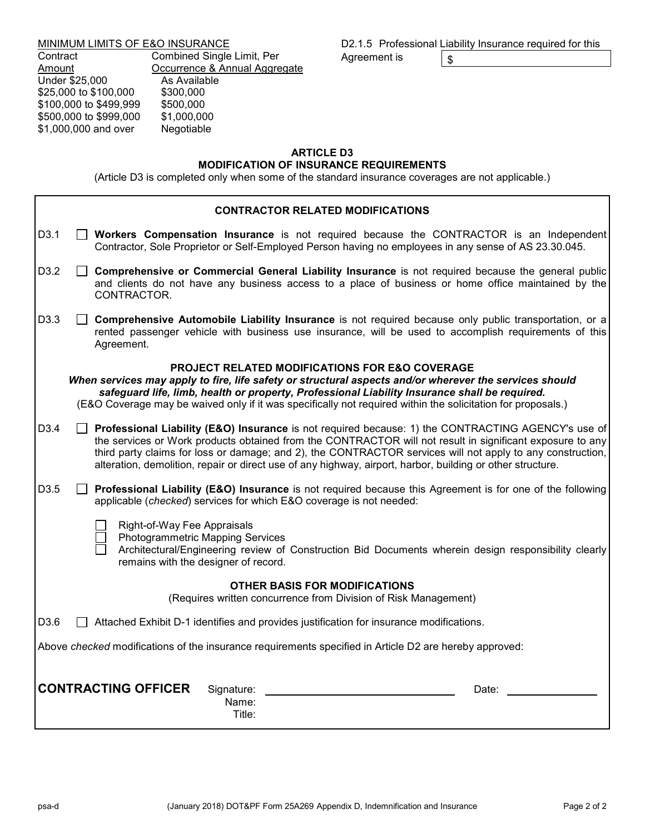#### MINIMUM LIMITS OF E&O INSURANCE

Contract Combined Single Limit, Per<br>
<u>Cocurrence & Annual Aggre</u> Occurrence & Annual Aggregate<br>As Available Under \$25,000<br>\$25,000 to \$100,000 \$300,000 \$25,000 to \$100,000 \$300,000<br>\$100,000 to \$499,999 \$500,000 \$100,000 to \$499,999 \$500,000<br>\$500,000 to \$999,000 \$1,000,000 \$500,000 to \$999,000 \$1,000,000<br>\$1,000,000 and over Negotiable \$1,000,000 and over

|              | D2.1.5 Professional Liability Insurance required for this |
|--------------|-----------------------------------------------------------|
| Agreement is |                                                           |

#### **ARTICLE D3**

#### **MODIFICATION OF INSURANCE REQUIREMENTS**

(Article D3 is completed only when some of the standard insurance coverages are not applicable.)

| <b>CONTRACTOR RELATED MODIFICATIONS</b> |  |                                                                                                                                                                                                                                                                                                                                                                                                                                             |
|-----------------------------------------|--|---------------------------------------------------------------------------------------------------------------------------------------------------------------------------------------------------------------------------------------------------------------------------------------------------------------------------------------------------------------------------------------------------------------------------------------------|
| D <sub>3.1</sub>                        |  | Workers Compensation Insurance is not required because the CONTRACTOR is an Independent<br>Contractor, Sole Proprietor or Self-Employed Person having no employees in any sense of AS 23.30.045.                                                                                                                                                                                                                                            |
| D3.2                                    |  | Comprehensive or Commercial General Liability Insurance is not required because the general public<br>and clients do not have any business access to a place of business or home office maintained by the<br>CONTRACTOR.                                                                                                                                                                                                                    |
| D3.3                                    |  | Comprehensive Automobile Liability Insurance is not required because only public transportation, or a<br>rented passenger vehicle with business use insurance, will be used to accomplish requirements of this<br>Agreement.                                                                                                                                                                                                                |
|                                         |  | PROJECT RELATED MODIFICATIONS FOR E&O COVERAGE                                                                                                                                                                                                                                                                                                                                                                                              |
|                                         |  | When services may apply to fire, life safety or structural aspects and/or wherever the services should<br>safeguard life, limb, health or property, Professional Liability Insurance shall be required.<br>(E&O Coverage may be waived only if it was specifically not required within the solicitation for proposals.)                                                                                                                     |
| D3.4                                    |  | Professional Liability (E&O) Insurance is not required because: 1) the CONTRACTING AGENCY's use of<br>the services or Work products obtained from the CONTRACTOR will not result in significant exposure to any<br>third party claims for loss or damage; and 2), the CONTRACTOR services will not apply to any construction,<br>alteration, demolition, repair or direct use of any highway, airport, harbor, building or other structure. |
| D3.5                                    |  | Professional Liability (E&O) Insurance is not required because this Agreement is for one of the following<br>applicable (checked) services for which E&O coverage is not needed:                                                                                                                                                                                                                                                            |
|                                         |  | Right-of-Way Fee Appraisals<br>Photogrammetric Mapping Services<br>Architectural/Engineering review of Construction Bid Documents wherein design responsibility clearly<br>remains with the designer of record.                                                                                                                                                                                                                             |
|                                         |  | <b>OTHER BASIS FOR MODIFICATIONS</b><br>(Requires written concurrence from Division of Risk Management)                                                                                                                                                                                                                                                                                                                                     |
| D3.6                                    |  | Attached Exhibit D-1 identifies and provides justification for insurance modifications.                                                                                                                                                                                                                                                                                                                                                     |
|                                         |  | Above checked modifications of the insurance requirements specified in Article D2 are hereby approved:                                                                                                                                                                                                                                                                                                                                      |
|                                         |  | <b>CONTRACTING OFFICER</b><br>Signature:<br>Date:<br>Name:<br>Title:                                                                                                                                                                                                                                                                                                                                                                        |